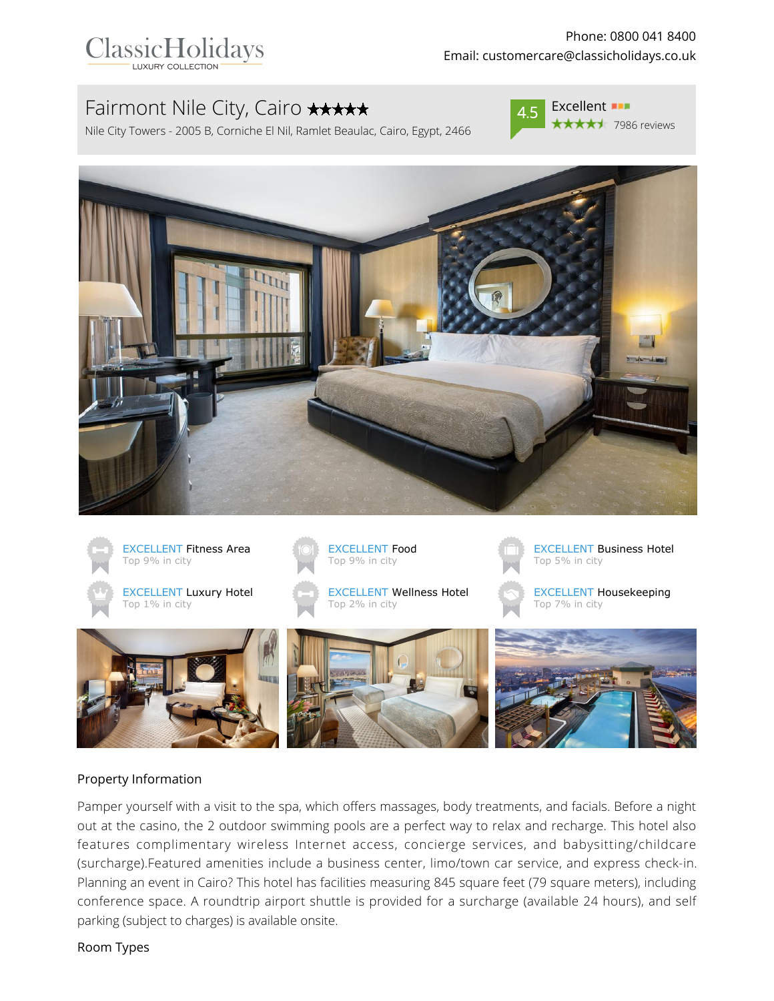

# Fairmont Nile City, Cairo \*\*\*\*\*

Nile City Towers - 2005 B, Corniche El Nil, Ramlet Beaulac, Cairo, Egypt, 2466



**★★★★**★ 7986 reviews





#### Property Information

Pamper yourself with a visit to the spa, which offers massages, body treatments, and facials. Before a night out at the casino, the 2 outdoor swimming pools are a perfect way to relax and recharge. This hotel also features complimentary wireless Internet access, concierge services, and babysitting/childcare (surcharge).Featured amenities include a business center, limo/town car service, and express check-in. Planning an event in Cairo? This hotel has facilities measuring 845 square feet (79 square meters), including conference space. A roundtrip airport shuttle is provided for a surcharge (available 24 hours), and self parking (subject to charges) is available onsite.

#### Room Types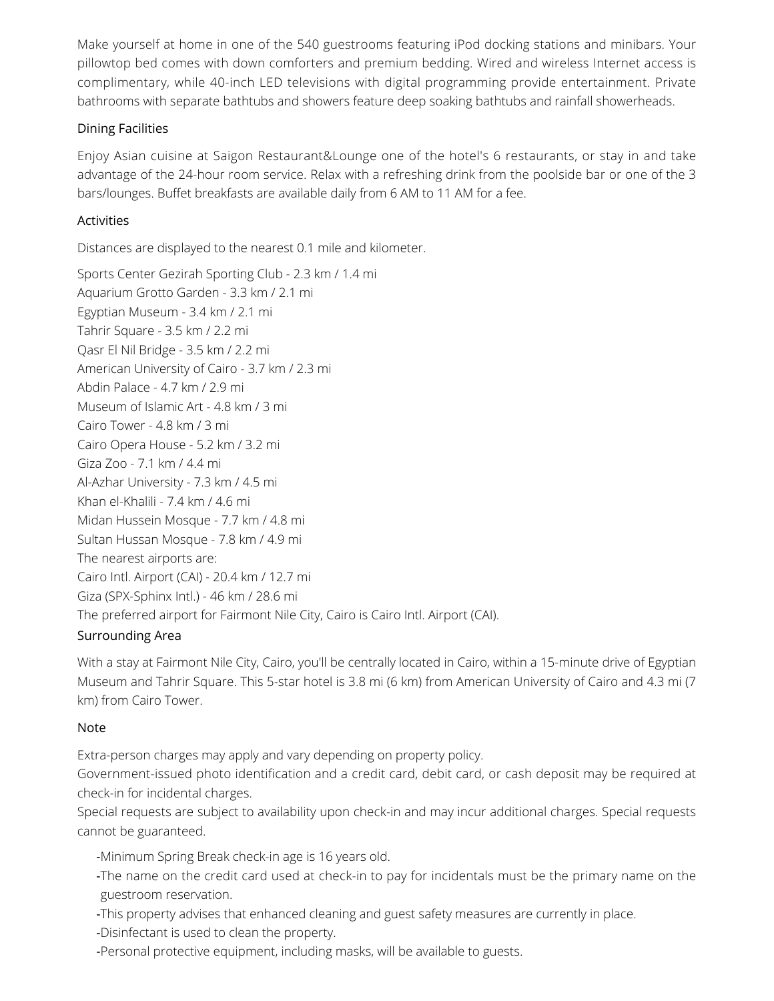Make yourself at home in one of the 540 guestrooms featuring iPod docking stations and minibars. Your pillowtop bed comes with down comforters and premium bedding. Wired and wireless Internet access is complimentary, while 40-inch LED televisions with digital programming provide entertainment. Private bathrooms with separate bathtubs and showers feature deep soaking bathtubs and rainfall showerheads.

#### Dining Facilities

Enjoy Asian cuisine at Saigon Restaurant&Lounge one of the hotel's 6 restaurants, or stay in and take advantage of the 24-hour room service. Relax with a refreshing drink from the poolside bar or one of the 3 bars/lounges. Buffet breakfasts are available daily from 6 AM to 11 AM for a fee.

#### Activities

Distances are displayed to the nearest 0.1 mile and kilometer.

Sports Center Gezirah Sporting Club - 2.3 km / 1.4 mi Aquarium Grotto Garden - 3.3 km / 2.1 mi Egyptian Museum - 3.4 km / 2.1 mi Tahrir Square - 3.5 km / 2.2 mi Qasr El Nil Bridge - 3.5 km / 2.2 mi American University of Cairo - 3.7 km / 2.3 mi Abdin Palace - 4.7 km / 2.9 mi Museum of Islamic Art - 4.8 km / 3 mi Cairo Tower - 4.8 km / 3 mi Cairo Opera House - 5.2 km / 3.2 mi Giza Zoo - 7.1 km / 4.4 mi Al-Azhar University - 7.3 km / 4.5 mi Khan el-Khalili - 7.4 km / 4.6 mi Midan Hussein Mosque - 7.7 km / 4.8 mi Sultan Hussan Mosque - 7.8 km / 4.9 mi The nearest airports are: Cairo Intl. Airport (CAI) - 20.4 km / 12.7 mi Giza (SPX-Sphinx Intl.) - 46 km / 28.6 mi The preferred airport for Fairmont Nile City, Cairo is Cairo Intl. Airport (CAI).

## Surrounding Area

With a stay at Fairmont Nile City, Cairo, you'll be centrally located in Cairo, within a 15-minute drive of Egyptian Museum and Tahrir Square. This 5-star hotel is 3.8 mi (6 km) from American University of Cairo and 4.3 mi (7 km) from Cairo Tower.

## Note

Extra-person charges may apply and vary depending on property policy.

Government-issued photo identification and a credit card, debit card, or cash deposit may be required at check-in for incidental charges.

Special requests are subject to availability upon check-in and may incur additional charges. Special requests cannot be guaranteed.

- -Minimum Spring Break check-in age is 16 years old.
- -The name on the credit card used at check-in to pay for incidentals must be the primary name on the guestroom reservation.
- -This property advises that enhanced cleaning and guest safety measures are currently in place.
- -Disinfectant is used to clean the property.
- -Personal protective equipment, including masks, will be available to guests.